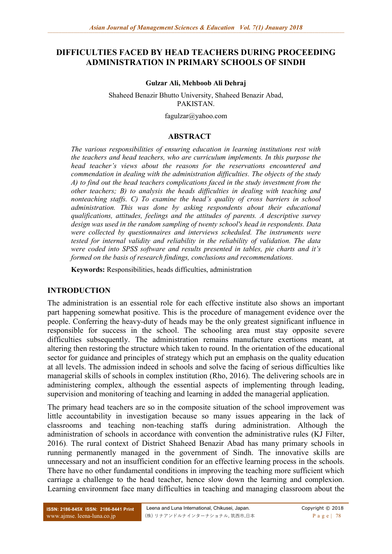#### **DIFFICULTIES FACED BY HEAD TEACHERS DURING PROCEEDING ADMINISTRATION IN PRIMARY SCHOOLS OF SINDH**

#### **Gulzar Ali, Mehboob Ali Dehraj**

Shaheed Benazir Bhutto University, Shaheed Benazir Abad, PAKISTAN.

fagulzar@yahoo.com

#### **ABSTRACT**

*The various responsibilities of ensuring education in learning institutions rest with the teachers and head teachers, who are curriculum implements. In this purpose the head teacher's views about the reasons for the reservations encountered and commendation in dealing with the administration difficulties. The objects of the study A) to find out the head teachers complications faced in the study investment from the other teachers; B) to analysis the heads difficulties in dealing with teaching and nonteaching staffs. C) To examine the head's quality of cross barriers in school administration. This was done by asking respondents about their educational qualifications, attitudes, feelings and the attitudes of parents. A descriptive survey design was used in the random sampling of twenty school's head in respondents. Data were collected by questionnaires and interviews scheduled. The instruments were tested for internal validity and reliability in the reliability of validation. The data were coded into SPSS software and results presented in tables, pie charts and it's formed on the basis of research findings, conclusions and recommendations.*

**Keywords:** Responsibilities, heads difficulties, administration

#### **INTRODUCTION**

The administration is an essential role for each effective institute also shows an important part happening somewhat positive. This is the procedure of management evidence over the people. Conferring the heavy-duty of heads may be the only greatest significant influence in responsible for success in the school. The schooling area must stay opposite severe difficulties subsequently. The administration remains manufacture exertions meant, at altering then restoring the structure which taken to round. In the orientation of the educational sector for guidance and principles of strategy which put an emphasis on the quality education at all levels. The admission indeed in schools and solve the facing of serious difficulties like managerial skills of schools in complex institution (Rho, 2016). The delivering schools are in administering complex, although the essential aspects of implementing through leading, supervision and monitoring of teaching and learning in added the managerial application.

The primary head teachers are so in the composite situation of the school improvement was little accountability in investigation because so many issues appearing in the lack of classrooms and teaching non-teaching staffs during administration. Although the administration of schools in accordance with convention the administrative rules (KJ Filter, 2016). The rural context of District Shaheed Benazir Abad has many primary schools in running permanently managed in the government of Sindh. The innovative skills are unnecessary and not an insufficient condition for an effective learning process in the schools. There have no other fundamental conditions in improving the teaching more sufficient which carriage a challenge to the head teacher, hence slow down the learning and complexion. Learning environment face many difficulties in teaching and managing classroom about the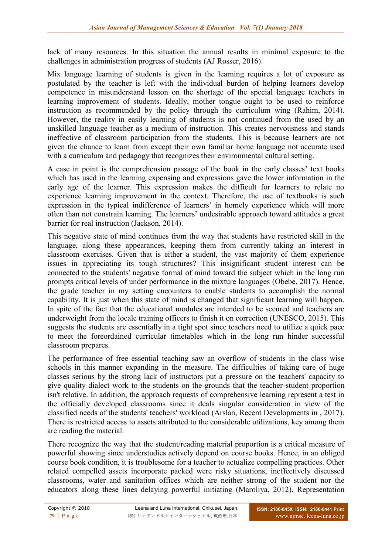lack of many resources. In this situation the annual results in minimal exposure to the challenges in administration progress of students (AJ Rosser, 2016).

Mix language learning of students is given in the learning requires a lot of exposure as postulated by the teacher is left with the individual burden of helping learners develop competence in misunderstand lesson on the shortage of the special language teachers in learning improvement of students. Ideally, mother tongue ought to be used to reinforce instruction as recommended by the policy through the curriculum wing (Rahim, 2014). However, the reality in easily learning of students is not continued from the used by an unskilled language teacher as a medium of instruction. This creates nervousness and stands ineffective of classroom participation from the students. This is because learners are not given the chance to learn from except their own familiar home language not accurate used with a curriculum and pedagogy that recognizes their environmental cultural setting.

A case in point is the comprehension passage of the book in the early classes' text books which has used in the learning expensing and expressions gave the lower information in the early age of the learner. This expression makes the difficult for learners to relate no experience learning improvement in the context. Therefore, the use of textbooks is such expression in the typical indifference of learners' in homely experience which will more often than not constrain learning. The learners' undesirable approach toward attitudes a great barrier for real instruction (Jackson, 2014).

This negative state of mind continues from the way that students have restricted skill in the language, along these appearances, keeping them from currently taking an interest in classroom exercises. Given that is either a student, the vast majority of them experience issues in appreciating its tough structures? This insignificant student interest can be connected to the students' negative formal of mind toward the subject which in the long run prompts critical levels of under performance in the mixture languages (Obebe, 2017). Hence, the grade teacher in my setting encounters to enable students to accomplish the normal capability. It is just when this state of mind is changed that significant learning will happen. In spite of the fact that the educational modules are intended to be secured and teachers are underweight from the locale training officers to finish it on correction (UNESCO, 2015). This suggests the students are essentially in a tight spot since teachers need to utilize a quick pace to meet the foreordained curricular timetables which in the long run hinder successful classroom prepares.

The performance of free essential teaching saw an overflow of students in the class wise schools in this manner expanding in the measure. The difficulties of taking care of huge classes serious by the strong lack of instructors put a pressure on the teachers' capacity to give quality dialect work to the students on the grounds that the teacher-student proportion isn't relative. In addition, the approach requests of comprehensive learning represent a test in the officially developed classrooms since it deals singular consideration in view of the classified needs of the students' teachers' workload (Arslan, Recent Developments in , 2017). There is restricted access to assets attributed to the considerable utilizations, key among them are reading the material.

There recognize the way that the student/reading material proportion is a critical measure of powerful showing since understudies actively depend on course books. Hence, in an obliged course book condition, it is troublesome for a teacher to actualize compelling practices. Other related compelled assets incorporate packed were risky situations, ineffectively discussed classrooms, water and sanitation offices which are neither strong of the student nor the educators along these lines delaying powerful initiating (Maroliya, 2012). Representation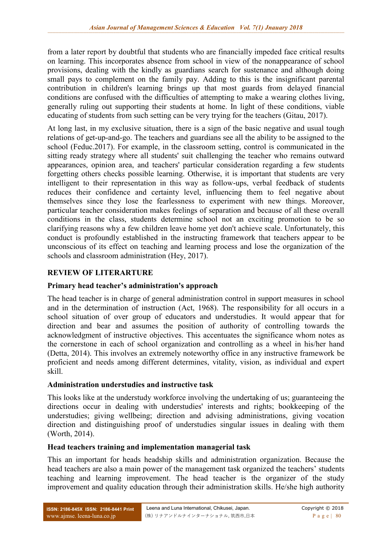from a later report by doubtful that students who are financially impeded face critical results on learning. This incorporates absence from school in view of the nonappearance of school provisions, dealing with the kindly as guardians search for sustenance and although doing small pays to complement on the family pay. Adding to this is the insignificant parental contribution in children's learning brings up that most guards from delayed financial conditions are confused with the difficulties of attempting to make a wearing clothes living, generally ruling out supporting their students at home. In light of these conditions, viable educating of students from such setting can be very trying for the teachers (Gitau, 2017).

At long last, in my exclusive situation, there is a sign of the basic negative and usual tough relations of get-up-and-go. The teachers and guardians see all the ability to be assigned to the school (Feduc.2017). For example, in the classroom setting, control is communicated in the sitting ready strategy where all students' suit challenging the teacher who remains outward appearances, opinion area, and teachers' particular consideration regarding a few students forgetting others checks possible learning. Otherwise, it is important that students are very intelligent to their representation in this way as follow-ups, verbal feedback of students reduces their confidence and certainty level, influencing them to feel negative about themselves since they lose the fearlessness to experiment with new things. Moreover, particular teacher consideration makes feelings of separation and because of all these overall conditions in the class, students determine school not an exciting promotion to be so clarifying reasons why a few children leave home yet don't achieve scale. Unfortunately, this conduct is profoundly established in the instructing framework that teachers appear to be unconscious of its effect on teaching and learning process and lose the organization of the schools and classroom administration (Hey, 2017).

# **REVIEW OF LITERARTURE**

# **Primary head teacher's administration's approach**

The head teacher is in charge of general administration control in support measures in school and in the determination of instruction (Act, 1968). The responsibility for all occurs in a school situation of over group of educators and understudies. It would appear that for direction and bear and assumes the position of authority of controlling towards the acknowledgment of instructive objectives. This accentuates the significance whom notes as the cornerstone in each of school organization and controlling as a wheel in his/her hand (Detta, 2014). This involves an extremely noteworthy office in any instructive framework be proficient and needs among different determines, vitality, vision, as individual and expert skill.

# **Administration understudies and instructive task**

This looks like at the understudy workforce involving the undertaking of us; guaranteeing the directions occur in dealing with understudies' interests and rights; bookkeeping of the understudies; giving wellbeing; direction and advising administrations, giving vocation direction and distinguishing proof of understudies singular issues in dealing with them (Worth, 2014).

#### **Head teachers training and implementation managerial task**

This an important for heads headship skills and administration organization. Because the head teachers are also a main power of the management task organized the teachers' students teaching and learning improvement. The head teacher is the organizer of the study improvement and quality education through their administration skills. He/she high authority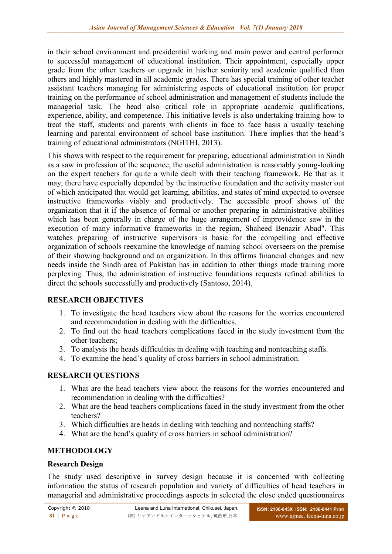in their school environment and presidential working and main power and central performer to successful management of educational institution. Their appointment, especially upper grade from the other teachers or upgrade in his/her seniority and academic qualified than others and highly mastered in all academic grades. There has special training of other teacher assistant teachers managing for administering aspects of educational institution for proper training on the performance of school administration and management of students include the managerial task. The head also critical role in appropriate academic qualifications, experience, ability, and competence. This initiative levels is also undertaking training how to treat the staff, students and parents with clients in face to face basis a usually teaching learning and parental environment of school base institution. There implies that the head's training of educational administrators (NGITHI, 2013).

This shows with respect to the requirement for preparing, educational administration in Sindh as a saw in profession of the sequence, the useful administration is reasonably young-looking on the expert teachers for quite a while dealt with their teaching framework. Be that as it may, there have especially depended by the instructive foundation and the activity master out of which anticipated that would get learning, abilities, and states of mind expected to oversee instructive frameworks viably and productively. The accessible proof shows of the organization that it if the absence of formal or another preparing in administrative abilities which has been generally in charge of the huge arrangement of improvidence saw in the execution of many informative frameworks in the region, Shaheed Benazir Abad". This watches preparing of instructive supervisors is basic for the compelling and effective organization of schools reexamine the knowledge of naming school overseers on the premise of their showing background and an organization. In this affirms financial changes and new needs inside the Sindh area of Pakistan has in addition to other things made training more perplexing. Thus, the administration of instructive foundations requests refined abilities to direct the schools successfully and productively (Santoso, 2014).

# **RESEARCH OBJECTIVES**

- 1. To investigate the head teachers view about the reasons for the worries encountered and recommendation in dealing with the difficulties.
- 2. To find out the head teachers complications faced in the study investment from the other teachers;
- 3. To analysis the heads difficulties in dealing with teaching and nonteaching staffs.
- 4. To examine the head's quality of cross barriers in school administration.

# **RESEARCH QUESTIONS**

- 1. What are the head teachers view about the reasons for the worries encountered and recommendation in dealing with the difficulties?
- 2. What are the head teachers complications faced in the study investment from the other teachers?
- 3. Which difficulties are heads in dealing with teaching and nonteaching staffs?
- 4. What are the head's quality of cross barriers in school administration?

# **METHODOLOGY**

# **Research Design**

The study used descriptive in survey design because it is concerned with collecting information the status of research population and variety of difficulties of head teachers in managerial and administrative proceedings aspects in selected the close ended questionnaires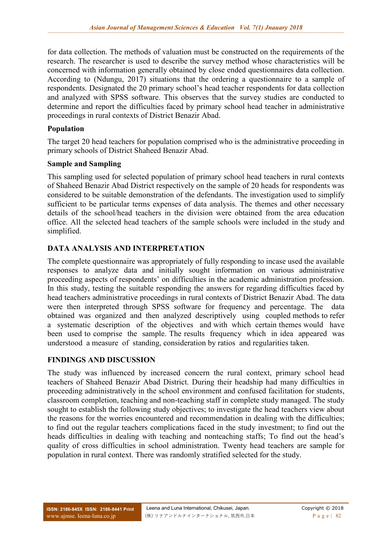for data collection. The methods of valuation must be constructed on the requirements of the research. The researcher is used to describe the survey method whose characteristics will be concerned with information generally obtained by close ended questionnaires data collection. According to (Ndungu, 2017) situations that the ordering a questionnaire to a sample of respondents. Designated the 20 primary school's head teacher respondents for data collection and analyzed with SPSS software. This observes that the survey studies are conducted to determine and report the difficulties faced by primary school head teacher in administrative proceedings in rural contexts of District Benazir Abad.

#### **Population**

The target 20 head teachers for population comprised who is the administrative proceeding in primary schools of District Shaheed Benazir Abad.

#### **Sample and Sampling**

This sampling used for selected population of primary school head teachers in rural contexts of Shaheed Benazir Abad District respectively on the sample of 20 heads for respondents was considered to be suitable demonstration of the defendants. The investigation used to simplify sufficient to be particular terms expenses of data analysis. The themes and other necessary details of the school/head teachers in the division were obtained from the area education office. All the selected head teachers of the sample schools were included in the study and simplified.

# **DATA ANALYSIS AND INTERPRETATION**

The complete questionnaire was appropriately of fully responding to incase used the available responses to analyze data and initially sought information on various administrative proceeding aspects of respondents' on difficulties in the academic administration profession. In this study, testing the suitable responding the answers for regarding difficulties faced by head teachers administrative proceedings in rural contexts of District Benazir Abad. The data were then interpreted through SPSS software for frequency and percentage. The data obtained was organized and then analyzed descriptively using coupled methods to refer a systematic description of the objectives and with which certain themes would have been used to comprise the sample. The results frequency which in idea appeared was understood a measure of standing, consideration by ratios and regularities taken.

# **FINDINGS AND DISCUSSION**

The study was influenced by increased concern the rural context, primary school head teachers of Shaheed Benazir Abad District. During their headship had many difficulties in proceeding administratively in the school environment and confused facilitation for students, classroom completion, teaching and non-teaching staff in complete study managed. The study sought to establish the following study objectives; to investigate the head teachers view about the reasons for the worries encountered and recommendation in dealing with the difficulties; to find out the regular teachers complications faced in the study investment; to find out the heads difficulties in dealing with teaching and nonteaching staffs; To find out the head's quality of cross difficulties in school administration. Twenty head teachers are sample for population in rural context. There was randomly stratified selected for the study.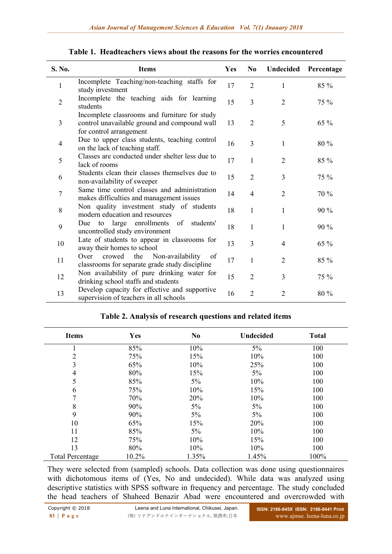| S. No.         | <b>Items</b>                                                                                                             | <b>Yes</b> | N <sub>0</sub> | Undecided      | Percentage |
|----------------|--------------------------------------------------------------------------------------------------------------------------|------------|----------------|----------------|------------|
| 1              | Incomplete Teaching/non-teaching staffs for<br>study investment                                                          | 17         | $\overline{2}$ | 1              | 85 %       |
| $\overline{2}$ | Incomplete the teaching aids for learning<br>students                                                                    | 15         | $\overline{3}$ | $\overline{2}$ | 75 %       |
| 3              | Incomplete classrooms and furniture for study<br>control unavailable ground and compound wall<br>for control arrangement | 13         | $\overline{2}$ | 5              | 65 %       |
| $\overline{4}$ | Due to upper class students, teaching control<br>on the lack of teaching staff.                                          | 16         | 3              | 1              | 80 %       |
| 5              | Classes are conducted under shelter less due to<br>lack of rooms                                                         | 17         | $\mathbf{1}$   | $\overline{2}$ | 85 %       |
| 6              | Students clean their classes themselves due to<br>non-availability of sweeper                                            | 15         | $\overline{2}$ | 3              | 75 %       |
| $\tau$         | Same time control classes and administration<br>makes difficulties and management issues                                 | 14         | $\overline{4}$ | $\overline{2}$ | 70 %       |
| 8              | Non quality investment study of students<br>modern education and resources                                               | 18         | 1              | 1              | 90 %       |
| 9              | enrollments<br>large<br>of<br>students'<br>Due<br>to<br>uncontrolled study environment                                   | 18         | 1              | 1              | 90 %       |
| 10             | Late of students to appear in classrooms for<br>away their homes to school                                               | 13         | $\overline{3}$ | 4              | $65\%$     |
| 11             | Non-availability<br>Over<br>crowed<br>the<br>of<br>classrooms for separate grade study discipline                        | 17         | $\mathbf{1}$   | $\overline{2}$ | 85 %       |
| 12             | Non availability of pure drinking water for<br>drinking school staffs and students                                       | 15         | $\overline{2}$ | 3              | 75 %       |
| 13             | Develop capacity for effective and supportive<br>supervision of teachers in all schools                                  | 16         | $\overline{2}$ | $\overline{2}$ | 80 %       |

|  | Table 1. Headteachers views about the reasons for the worries encountered |  |  |  |  |  |
|--|---------------------------------------------------------------------------|--|--|--|--|--|
|--|---------------------------------------------------------------------------|--|--|--|--|--|

| <b>Items</b>            | Yes   | N <sub>0</sub> | <b>Undecided</b> | <b>Total</b> |
|-------------------------|-------|----------------|------------------|--------------|
|                         | 85%   | 10%            | $5\%$            | 100          |
| 2                       | 75%   | 15%            | 10%              | 100          |
| 3                       | 65%   | 10%            | 25%              | 100          |
| 4                       | 80%   | 15%            | $5\%$            | 100          |
| 5                       | 85%   | $5\%$          | 10%              | 100          |
| 6                       | 75%   | 10%            | 15%              | 100          |
| 7                       | 70%   | 20%            | 10%              | 100          |
| 8                       | 90%   | $5\%$          | $5\%$            | 100          |
| 9                       | 90%   | $5\%$          | $5\%$            | 100          |
| 10                      | 65%   | 15%            | 20%              | 100          |
| 11                      | 85%   | $5\%$          | 10%              | 100          |
| 12                      | 75%   | 10%            | 15%              | 100          |
| 13                      | 80%   | 10%            | 10%              | 100          |
| <b>Total Percentage</b> | 10.2% | 1.35%          | 1.45%            | 100%         |

#### **Table 2. Analysis of research questions and related items**

They were selected from (sampled) schools. Data collection was done using questionnaires with dichotomous items of (Yes, No and undecided). While data was analyzed using descriptive statistics with SPSS software in frequency and percentage. The study concluded the head teachers of Shaheed Benazir Abad were encountered and overcrowded with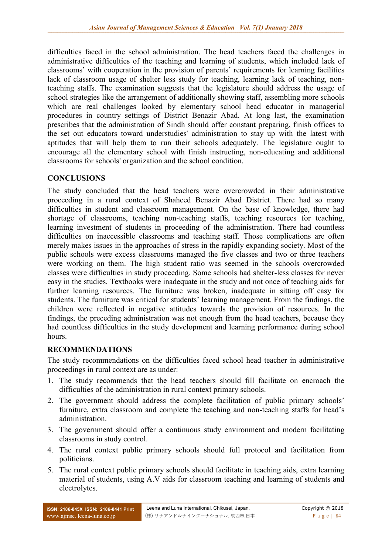difficulties faced in the school administration. The head teachers faced the challenges in administrative difficulties of the teaching and learning of students, which included lack of classrooms' with cooperation in the provision of parents' requirements for learning facilities lack of classroom usage of shelter less study for teaching, learning lack of teaching, nonteaching staffs. The examination suggests that the legislature should address the usage of school strategies like the arrangement of additionally showing staff, assembling more schools which are real challenges looked by elementary school head educator in managerial procedures in country settings of District Benazir Abad. At long last, the examination prescribes that the administration of Sindh should offer constant preparing, finish offices to the set out educators toward understudies' administration to stay up with the latest with aptitudes that will help them to run their schools adequately. The legislature ought to encourage all the elementary school with finish instructing, non-educating and additional classrooms for schools' organization and the school condition.

#### **CONCLUSIONS**

The study concluded that the head teachers were overcrowded in their administrative proceeding in a rural context of Shaheed Benazir Abad District. There had so many difficulties in student and classroom management. On the base of knowledge, there had shortage of classrooms, teaching non-teaching staffs, teaching resources for teaching, learning investment of students in proceeding of the administration. There had countless difficulties on inaccessible classrooms and teaching staff. Those complications are often merely makes issues in the approaches of stress in the rapidly expanding society. Most of the public schools were excess classrooms managed the five classes and two or three teachers were working on them. The high student ratio was seemed in the schools overcrowded classes were difficulties in study proceeding. Some schools had shelter-less classes for never easy in the studies. Textbooks were inadequate in the study and not once of teaching aids for further learning resources. The furniture was broken, inadequate in sitting off easy for students. The furniture was critical for students' learning management. From the findings, the children were reflected in negative attitudes towards the provision of resources. In the findings, the preceding administration was not enough from the head teachers, because they had countless difficulties in the study development and learning performance during school hours.

# **RECOMMENDATIONS**

The study recommendations on the difficulties faced school head teacher in administrative proceedings in rural context are as under:

- 1. The study recommends that the head teachers should fill facilitate on encroach the difficulties of the administration in rural context primary schools.
- 2. The government should address the complete facilitation of public primary schools' furniture, extra classroom and complete the teaching and non-teaching staffs for head's administration.
- 3. The government should offer a continuous study environment and modern facilitating classrooms in study control.
- 4. The rural context public primary schools should full protocol and facilitation from politicians.
- 5. The rural context public primary schools should facilitate in teaching aids, extra learning material of students, using A.V aids for classroom teaching and learning of students and electrolytes.